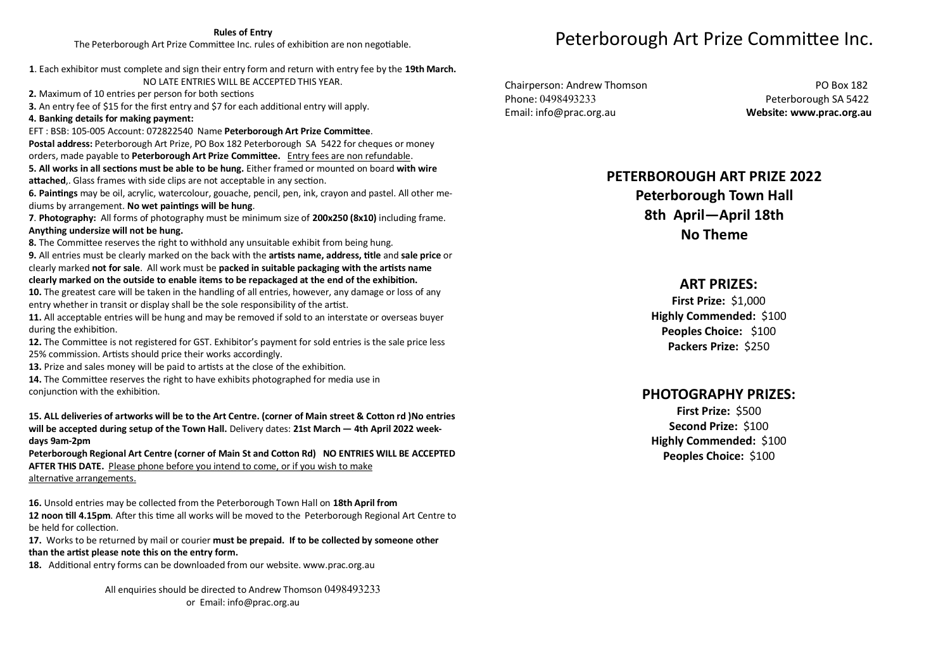#### **Rules of Entry**

The Peterborough Art Prize Committee Inc. rules of exhibition are non negotiable.

- **1**. Each exhibitor must complete and sign their entry form and return with entry fee by the **19th March.**  NO LATE ENTRIES WILL BE ACCEPTED THIS YEAR.
- **2.** Maximum of 10 entries per person for both sections
- **3.** An entry fee of \$15 for the first entry and \$7 for each additional entry will apply.
- **4. Banking details for making payment:**

EFT: BSB: 105-005 Account: 072822540 Name Peterborough Art Prize Committee. **Postal address:** Peterborough Art Prize, PO Box 182 Peterborough SA 5422 for cheques or money orders, made payable to **Peterborough Art Prize Committee.** Entry fees are non refundable. **5. All works in all secƟons must be able to be hung.** Either framed or mounted on board **with wire**  attached,. Glass frames with side clips are not acceptable in any section.

**6. PainƟngs** may be oil, acrylic, watercolour, gouache, pencil, pen, ink, crayon and pastel. All other mediums by arrangement. **No wet painƟngs will be hung**.

**7**. **Photography:** All forms of photography must be minimum size of **200x250 (8x10)** including frame. **Anything undersize will not be hung.** 

**8.** The Committee reserves the right to withhold any unsuitable exhibit from being hung.

**9.** All entries must be clearly marked on the back with the **arƟsts name, address, Ɵtle** and **sale price** or clearly marked not for sale. All work must be packed in suitable packaging with the artists name clearly marked on the outside to enable items to be repackaged at the end of the exhibition.

**10.** The greatest care will be taken in the handling of all entries, however, any damage or loss of any entry whether in transit or display shall be the sole responsibility of the artist.

**11.** All acceptable entries will be hung and may be removed if sold to an interstate or overseas buyer during the exhibition.

12. The Committee is not registered for GST. Exhibitor's payment for sold entries is the sale price less 25% commission. Artists should price their works accordingly.

**13.** Prize and sales money will be paid to artists at the close of the exhibition.

**14.** The Committee reserves the right to have exhibits photographed for media use in conjunction with the exhibition.

#### **15. ALL deliveries of artworks will be to the Art Centre. (corner of Main street & CoƩon rd )No entries will be accepted during setup of the Town Hall.** Delivery dates: **21st March — 4th April 2022 weekdays 9am-2pm**

Peterborough Regional Art Centre (corner of Main St and Cotton Rd) NO ENTRIES WILL BE ACCEPTED **AFTER THIS DATE.** Please phone before you intend to come, or if you wish to make alternative arrangements.

**16.** Unsold entries may be collected from the Peterborough Town Hall on **18th April from 12 noon till 4.15pm**. After this time all works will be moved to the Peterborough Regional Art Centre to be held for collection.

**17.** Works to be returned by mail or courier **must be prepaid. If to be collected by someone other**  than the artist please note this on the entry form.

**18.** Additional entry forms can be downloaded from our website. www.prac.org.au

All enquiries should be directed to Andrew Thomson 0498493233 or Email: info@prac.org.au

# Peterborough Art Prize Committee Inc.

Chairperson: Andrew Thomson PO Box 182 Phone: 0498493233 Phone: 0498493233

Email: info@prac.org.au **Website: www.prac.org.au** 

## **PETERBOROUGH ART PRIZE 2022**

## **Peterborough Town Hall 8th April—April 18th No Theme**

#### **ART PRIZES:**

**First Prize:** \$1,000 **Highly Commended:** \$100 **Peoples Choice:** \$100 **Packers Prize:** \$250

## **PHOTOGRAPHY PRIZES:**

**First Prize:** \$500 **Second Prize:** \$100 **Highly Commended:** \$100 **Peoples Choice:** \$100